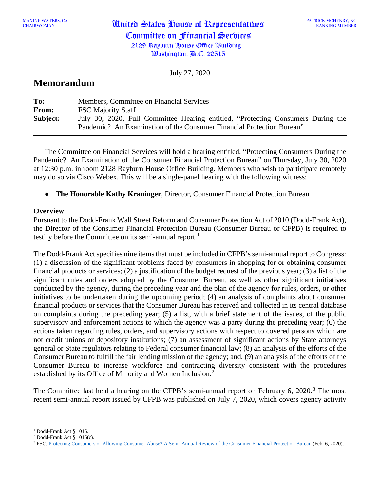MAXINE WATERS, CA **United States House of Representatives** Committee on Financial Services 2129 Rayburn House Office Building  $\mathcal{W}$ ashington,  $\mathcal{P}$ .C. 20515

July 27, 2020

| To:          | Members, Committee on Financial Services                                         |
|--------------|----------------------------------------------------------------------------------|
| <b>From:</b> | <b>FSC Majority Staff</b>                                                        |
| Subject:     | July 30, 2020, Full Committee Hearing entitled, "Protecting Consumers During the |
|              | Pandemic? An Examination of the Consumer Financial Protection Bureau"            |

The Committee on Financial Services will hold a hearing entitled, "Protecting Consumers During the Pandemic? An Examination of the Consumer Financial Protection Bureau" on Thursday, July 30, 2020 at 12:30 p.m. in room 2128 Rayburn House Office Building. Members who wish to participate remotely may do so via Cisco Webex. This will be a single-panel hearing with the following witness:

● **The Honorable Kathy Kraninger**, Director, Consumer Financial Protection Bureau

## **Overview**

Pursuant to the Dodd-Frank Wall Street Reform and Consumer Protection Act of 2010 (Dodd-Frank Act), the Director of the Consumer Financial Protection Bureau (Consumer Bureau or CFPB) is required to testify before the Committee on its semi-annual report.<sup>[1](#page-0-0)</sup>

The Dodd-Frank Act specifies nine items that must be included in CFPB's semi-annual report to Congress: (1) a discussion of the significant problems faced by consumers in shopping for or obtaining consumer financial products or services; (2) a justification of the budget request of the previous year; (3) a list of the significant rules and orders adopted by the Consumer Bureau, as well as other significant initiatives conducted by the agency, during the preceding year and the plan of the agency for rules, orders, or other initiatives to be undertaken during the upcoming period; (4) an analysis of complaints about consumer financial products or services that the Consumer Bureau has received and collected in its central database on complaints during the preceding year; (5) a list, with a brief statement of the issues, of the public supervisory and enforcement actions to which the agency was a party during the preceding year; (6) the actions taken regarding rules, orders, and supervisory actions with respect to covered persons which are not credit unions or depository institutions; (7) an assessment of significant actions by State attorneys general or State regulators relating to Federal consumer financial law; (8) an analysis of the efforts of the Consumer Bureau to fulfill the fair lending mission of the agency; and, (9) an analysis of the efforts of the Consumer Bureau to increase workforce and contracting diversity consistent with the procedures established by its Office of Minority and Women Inclusion.<sup>[2](#page-0-1)</sup>

The Committee last held a hearing on the CFPB's semi-annual report on February 6, 2020.<sup>[3](#page-0-2)</sup> The most recent semi-annual report issued by CFPB was published on July 7, 2020, which covers agency activity

<span id="page-0-0"></span><sup>1</sup> Dodd-Frank Act § 1016.

<span id="page-0-1"></span> $2$  Dodd-Frank Act § 1016(c).

<span id="page-0-2"></span><sup>&</sup>lt;sup>3</sup> FSC[, Protecting Consumers or Allowing Consumer Abuse? A Semi-Annual Review of the Consumer Financial Protection Bureau](https://financialservices.house.gov/calendar/eventsingle.aspx?EventID=406111) (Feb. 6, 2020).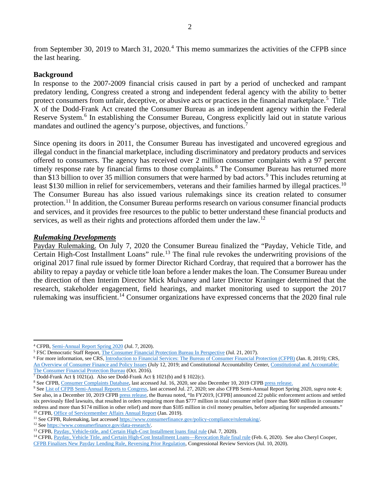from September 30, 2019 to March 31, 2020. [4](#page-1-0) This memo summarizes the activities of the CFPB since the last hearing.

## **Background**

In response to the 2007-2009 financial crisis caused in part by a period of unchecked and rampant predatory lending, Congress created a strong and independent federal agency with the ability to better protect consumers from unfair, deceptive, or abusive acts or practices in the financial marketplace.<sup>[5](#page-1-1)</sup> Title X of the Dodd-Frank Act created the Consumer Bureau as an independent agency within the Federal Reserve System.<sup>[6](#page-1-2)</sup> In establishing the Consumer Bureau, Congress explicitly laid out in statute various mandates and outlined the agency's purpose, objectives, and functions.<sup>[7](#page-1-3)</sup>

Since opening its doors in 2011, the Consumer Bureau has investigated and uncovered egregious and illegal conduct in the financial marketplace, including discriminatory and predatory products and services offered to consumers. The agency has received over 2 million consumer complaints with a 97 percent timely response rate by financial firms to those complaints.<sup>[8](#page-1-4)</sup> The Consumer Bureau has returned more than \$13 billion to over 35 million consumers that were harmed by bad actors.<sup>[9](#page-1-5)</sup> This includes returning at least \$130 million in relief for servicemembers, veterans and their families harmed by illegal practices.<sup>[10](#page-1-6)</sup> The Consumer Bureau has also issued various rulemakings since its creation related to consumer protection.<sup>[11](#page-1-7)</sup> In addition, the Consumer Bureau performs research on various consumer financial products and services, and it provides free resources to the public to better understand these financial products and services, as well as their rights and protections afforded them under the law.<sup>[12](#page-1-8)</sup>

### *Rulemaking Developments*

Payday Rulemaking. On July 7, 2020 the Consumer Bureau finalized the "Payday, Vehicle Title, and Certain High-Cost Installment Loans" rule.<sup>[13](#page-1-9)</sup> The final rule revokes the underwriting provisions of the original 2017 final rule issued by former Director Richard Cordray, that required that a borrower has the ability to repay a payday or vehicle title loan before a lender makes the loan. The Consumer Bureau under the direction of then Interim Director Mick Mulvaney and later Director Kraninger determined that the research, stakeholder engagement, field hearings, and market monitoring used to support the 2017 rulemaking was insufficient.<sup>[14](#page-1-10)</sup> Consumer organizations have expressed concerns that the 2020 final rule

<span id="page-1-2"></span><sup>6</sup> For more information, see CRS[, Introduction to Financial Services: The Bureau of Consumer Financial Protection \(CFPB\)](http://www.crs.gov/Reports/IF10031) (Jan. 8, 2019); CRS, [An Overview of Consumer Finance and Policy Issues](https://www.crs.gov/Reports/R45813) (July 12, 2019; and Constitutional Accountability Center[, Constitutional and Accountable:](https://www.theusconstitution.org/wp-content/uploads/2017/12/20161020_White_Paper_CFPB.pdf) The Consumer Financial Protection Bureau (Oct. 2016).

<span id="page-1-0"></span><sup>4</sup> CFPB, [Semi-Annual Report Spring 2020](https://files.consumerfinance.gov/f/documents/cfpb_semi-annual-report-to-congress_spring-2020.pdf) (Jul. 7, 2020).

<span id="page-1-1"></span><sup>&</sup>lt;sup>5</sup> FSC Democratic Staff Report, [The Consumer Financial Protection Bureau In Perspective](https://financialservices.house.gov/uploadedfiles/cfpb_staff_report.pdf) (Jul. 21, 2017).

<span id="page-1-3"></span> $\sqrt{7}$  Dodd-Frank Act § 1021(a). Also see Dodd-Frank Act § 1021(b) and § 1022(c).

<span id="page-1-4"></span><sup>8</sup> See CFPB[, Consumer Complaints Database,](https://www.consumerfinance.gov/data-research/consumer-complaints/) last accessed Jul. 16, 2020, see also December 10, 2019 CFP[B press release.](https://www.consumerfinance.gov/about-us/newsroom/kraninger-marks-first-year-director-consumer-financial-protection-bureau/)

<span id="page-1-5"></span><sup>9</sup> Se[e List of CFPB Semi-Annual Reports to Congress,](https://www.consumerfinance.gov/data-research/research-reports/?title=semi-annual+&from_date=&to_date=) last accessed Jul. 27, 2020; see also CFPB Semi-Annual Report Spring 2020, *supra* note 4; See also, in a December 10, 2019 CFPB [press release,](https://www.consumerfinance.gov/about-us/newsroom/kraninger-marks-first-year-director-consumer-financial-protection-bureau/) the Bureau noted, "In FY2019, [CFPB] announced 22 public enforcement actions and settled six previously filed lawsuits, that resulted in orders requiring more than \$777 million in total consumer relief (more than \$600 million in consumer redress and more than \$174 million in other relief) and more than \$185 million in civil money penalties, before adjusting for suspended amounts."

<span id="page-1-7"></span><span id="page-1-6"></span><sup>&</sup>lt;sup>10</sup> CFPB[, Office of Servicemember Affairs Annual Report](https://files.consumerfinance.gov/f/documents/cfpb_osa_annual-report_2018.pdf) (Jan. 2019).<br><sup>11</sup> See CFPB, Rulemaking, last accessed https://www.consumerfinance.gov/policy-compliance/rulemaking/

<span id="page-1-9"></span>

<span id="page-1-8"></span><sup>&</sup>lt;sup>12</sup> See [https://www.consumerfinance.gov/data-research/.](https://www.consumerfinance.gov/data-research/)<br><sup>13</sup> CFPB[, Payday, Vehicle-title, and Certain High-Cost Installment loans final rule](https://www.consumerfinance.gov/policy-compliance/rulemaking/final-rules/payday-vehicle-title-and-certain-high-cost-installment-loans/) (Jul. 7, 2020).

<span id="page-1-10"></span><sup>&</sup>lt;sup>14</sup> CFPB[, Payday, Vehicle Title, and Certain High-Cost Installment Loans—Revocation Rule final rule](https://www.consumerfinance.gov/policy-compliance/rulemaking/final-rules/payday-vehicle-title-and-certain-high-cost-installment-loans-revocation-rule/) (Feb. 6, 2020). See also Cheryl Cooper, [CFPB Finalizes New Payday Lending Rule, Reversing Prior Regulation,](https://www.crs.gov/Reports/IN11059?source=search&guid=08a29dea732c40eead6c272f386ea17c&index=0) Congressional Review Services (Jul. 10, 2020).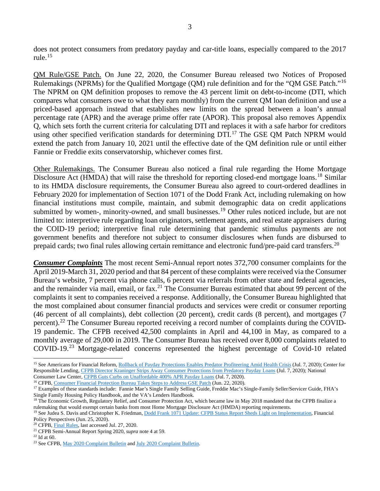does not protect consumers from predatory payday and car-title loans, especially compared to the 2017 rule. [15](#page-2-0)

QM Rule/GSE Patch. On June 22, 2020, the Consumer Bureau released two Notices of Proposed Rulemakings (NPRMs) for the Qualified Mortgage (QM) rule definition and for the "QM GSE Patch."[16](#page-2-1) The NPRM on QM definition proposes to remove the 43 percent limit on debt-to-income (DTI, which compares what consumers owe to what they earn monthly) from the current QM loan definition and use a priced-based approach instead that establishes new limits on the spread between a loan's annual percentage rate (APR) and the average prime offer rate (APOR). This proposal also removes Appendix Q, which sets forth the current criteria for calculating DTI and replaces it with a safe harbor for creditors using other specified verification standards for determining DTI.<sup>[17](#page-2-2)</sup> The GSE QM Patch NPRM would extend the patch from January 10, 2021 until the effective date of the QM definition rule or until either Fannie or Freddie exits conservatorship, whichever comes first.

Other Rulemakings. The Consumer Bureau also noticed a final rule regarding the Home Mortgage Disclosure Act (HMDA) that will raise the threshold for reporting closed-end mortgage loans.<sup>[18](#page-2-3)</sup> Similar to its HMDA disclosure requirements, the Consumer Bureau also agreed to court-ordered deadlines in February 2020 for implementation of Section 1071 of the Dodd Frank Act, including rulemaking on how financial institutions must compile, maintain, and submit demographic data on credit applications submitted by women-, minority-owned, and small businesses.<sup>[19](#page-2-4)</sup> Other rules noticed include, but are not limited to: interpretive rule regarding loan originators, settlement agents, and real estate appraisers during the COID-19 period; interpretive final rule determining that pandemic stimulus payments are not government benefits and therefore not subject to consumer disclosures when funds are disbursed to prepaid cards; two final rules allowing certain remittance and electronic fund/pre-paid card transfers.<sup>[20](#page-2-5)</sup>

*Consumer Complaints* The most recent Semi-Annual report notes 372,700 consumer complaints for the April 2019-March 31, 2020 period and that 84 percent of these complaints were received via the Consumer Bureau's website, 7 percent via phone calls, 6 percent via referrals from other state and federal agencies, and the remainder via mail, email, or fax.<sup>[21](#page-2-6)</sup> The Consumer Bureau estimated that about 99 percent of the complaints it sent to companies received a response. Additionally, the Consumer Bureau highlighted that the most complained about consumer financial products and services were credit or consumer reporting (46 percent of all complaints), debt collection (20 percent), credit cards (8 percent), and mortgages (7 percent).<sup>[22](#page-2-7)</sup> The Consumer Bureau reported receiving a record number of complaints during the COVID-19 pandemic. The CFPB received 42,500 complaints in April and 44,100 in May, as compared to a monthly average of 29,000 in 2019. The Consumer Bureau has received over 8,000 complaints related to COVID-19. [23](#page-2-8) Mortgage-related concerns represented the highest percentage of Covid-10 related

 $^{16}$  CFPB, Consumer Financial Protection Bureau Takes Steps to Address GSE Patch [\(](https://www.nclc.org/media-center/cfpb-guts-curbs-on-unaffordable-400-apr-payday-loans.html)Jun. 22, 2020).

<span id="page-2-0"></span><sup>&</sup>lt;sup>15</sup> See Americans for Financial Reform, [Rollback of Payday Protections Enables Predator Profiteering Amid Health](https://ourfinancialsecurity.org/2020/07/news-release-rollback-of-payday-protections-enables-predator-profiteering-amid-health-crisis/) Crisis (Jul. 7, 2020); Center for Responsible Lending[, CFPB Director Kraninger Strips Away Consumer Protections from Predatory Payday Loans](https://www.responsiblelending.org/media/cfpb-director-kraninger-strips-away-consumer-protections-predatory-payday-loans) (Jul. 7, 2020); National Consumer Law Center, CFPB Guts Curbs on Unaffordable 400% APR Payday Loans (Jul. 7, 2020).

<span id="page-2-2"></span><span id="page-2-1"></span><sup>17</sup> Examples of these standards include: Fannie Mae's Single Family Selling Guide, Freddie Mac's Single-Family Seller/Servicer Guide, FHA's Single Family Housing Policy Handbook, and the VA's Lenders Handbook.

<span id="page-2-3"></span><sup>&</sup>lt;sup>18</sup> The Economic Growth, Regulatory Relief, and Consumer Protection Act, which became law in May 2018 mandated that the CFPB finalize a rulemaking that would exempt certain banks from most Home Mortgage Disclosure Act (HMDA) reporting requirements.

<span id="page-2-4"></span><sup>&</sup>lt;sup>19</sup> See Judea S. Davis and Christopher K. Friedman, [Dodd Frank 1071 Update: CFPB Status Report Sheds Light on Implementation,](https://www.financialservicesperspectives.com/2020/06/dodd-frank-1071-update-cfpb-status-report-sheds-light-on-implementation/) Financial Policy Perspectives (Jun. 25, 2020).

<span id="page-2-5"></span><sup>20</sup> CFPB[, Final Rules,](https://www.consumerfinance.gov/policy-compliance/rulemaking/final-rules/payday-vehicle-title-and-certain-high-cost-installment-loans-revocation-rule/) last accessed Jul. 27, 2020.

<span id="page-2-6"></span><sup>21</sup> CFPB Semi-Annual Report Spring 2020, *supra* note 4 at 59.

<span id="page-2-7"></span> $22$  Id at 60.

<span id="page-2-8"></span><sup>&</sup>lt;sup>23</sup> See CFPB, [May 2020 Complaint Bulletin](https://files.consumerfinance.gov/f/documents/cfpb_complaint-bulletin_coronavirus-complaints.pdf) and [July 2020 Complaint Bulletin.](https://files.consumerfinance.gov/f/documents/cfpb_july-complaint-bulletin_coronavirus-complaints_2020-07.pdf)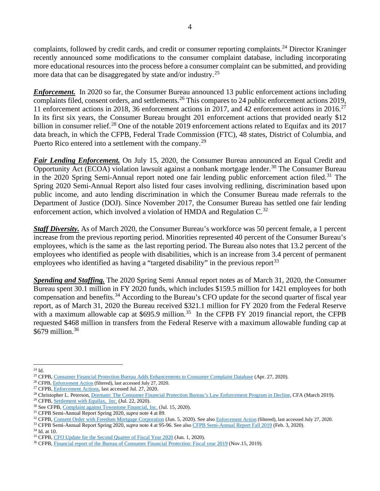complaints, followed by credit cards, and credit or consumer reporting complaints.[24](#page-3-0) Director Kraninger recently announced some modifications to the consumer complaint database, including incorporating more educational resources into the process before a consumer complaint can be submitted, and providing more data that can be disaggregated by state and/or industry.<sup>[25](#page-3-1)</sup>

**Enforcement.** In 2020 so far, the Consumer Bureau announced 13 public enforcement actions including complaints filed, consent orders, and settlements.<sup>[26](#page-3-2)</sup> This compares to 24 public enforcement actions 2019, 11 enforcement actions in 2018, 36 enforcement actions in 2017, and 42 enforcement actions in 2016. [27](#page-3-3) In its first six years, the Consumer Bureau brought 201 enforcement actions that provided nearly \$12 billion in consumer relief.<sup>[28](#page-3-4)</sup> One of the notable 2019 enforcement actions related to Equifax and its 2017 data breach, in which the CFPB, Federal Trade Commission (FTC), 48 states, District of Columbia, and Puerto Rico entered into a settlement with the company.<sup>[29](#page-3-5)</sup>

*Fair Lending Enforcement.* On July 15, 2020, the Consumer Bureau announced an Equal Credit and Opportunity Act (ECOA) violation lawsuit against a nonbank mortgage lender.<sup>[30](#page-3-6)</sup> The Consumer Bureau in the 2020 Spring Semi-Annual report noted one fair lending public enforcement action filed.<sup>[31](#page-3-7)</sup> The Spring 2020 Semi-Annual Report also listed four cases involving redlining, discrimination based upon public income, and auto lending discrimination in which the Consumer Bureau made referrals to the Department of Justice (DOJ). Since November 2017, the Consumer Bureau has settled one fair lending enforcement action, which involved a violation of HMDA and Regulation  $C^{32}$  $C^{32}$  $C^{32}$ .

*Staff Diversity.* As of March 2020, the Consumer Bureau's workforce was 50 percent female, a 1 percent increase from the previous reporting period. Minorities represented 40 percent of the Consumer Bureau's employees, which is the same as the last reporting period. The Bureau also notes that 13.2 percent of the employees who identified as people with disabilities, which is an increase from 3.4 percent of permanent employees who identified as having a "targeted disability" in the previous report  $33$ 

*Spending and Staffing.* The 2020 Spring Semi Annual report notes as of March 31, 2020, the Consumer Bureau spent 30.1 million in FY 2020 funds, which includes \$159.5 million for 1421 employees for both compensation and benefits.[34](#page-3-10) According to the Bureau's CFO update for the second quarter of fiscal year report, as of March 31, 2020 the Bureau received \$321.1 million for FY 2020 from the Federal Reserve with a maximum allowable cap at \$695.9 million.<sup>[35](#page-3-11)</sup> In the CFPB FY 2019 financial report, the CFPB requested \$468 million in transfers from the Federal Reserve with a maximum allowable funding cap at \$679 million.<sup>[36](#page-3-12)</sup>

<span id="page-3-1"></span><span id="page-3-0"></span><sup>&</sup>lt;sup>24</sup> Id.<br><sup>25</sup> CFPB[, Consumer Financial Protection Bureau Adds Enhancements to Consumer Complaint Database](https://www.consumerfinance.gov/about-us/newsroom/cfpb-enhances-consumer-complaint-database/) (Apr. 27, 2020).

<span id="page-3-2"></span><sup>26</sup> CFPB[, Enforcement Action](https://www.consumerfinance.gov/policy-compliance/enforcement/actions/?from_date=4%2F01%2F2019&to_date=01%2F26%2F2020&page=1&page=1#o-filterable-list-controls) (filtered), last accessed July 27, 2020.

<span id="page-3-3"></span><sup>27</sup> CFPB, [Enforcement Actions,](https://www.consumerfinance.gov/policy-compliance/enforcement/actions/?from_date=4%2F01%2F2019&to_date=01%2F26%2F2020&page=1&page=1) last accessed Jul. 27, 2020.

<span id="page-3-4"></span><sup>&</sup>lt;sup>28</sup> Christopher L. Peterson, [Dormant: The Consumer Financial Protection Bureau's Law Enforcement Program in Decline,](https://consumerfed.org/wp-content/uploads/2019/03/CFPB-Enforcement-in-Decline.pdf) CFA (March 2019).

<span id="page-3-5"></span><sup>29</sup> CFPB[, Settlement with Equifax, Inc.](https://www.consumerfinance.gov/policy-compliance/enforcement/actions/equifax-inc/) (Jul. 22, 2020).

<span id="page-3-6"></span><sup>&</sup>lt;sup>30</sup> See CFPB, [Complaint against Townstone Financial, Inc.](https://files.consumerfinance.gov/f/documents/cfpb_townstone-financial_complaint_2020-07.pdf) (Jul. 15, 2020).

<span id="page-3-7"></span><sup>31</sup> CFPB Semi-Annual Report Spring 2020, *supra* note 4 at 89.

<span id="page-3-8"></span><sup>&</sup>lt;sup>32</sup> CFPB[, Consent Order with Freedom Mortgage Corporation](https://files.consumerfinance.gov/f/documents/cfpb_freedom-mortgage-corporation_consent-order_2019-05.pdf) (Jun. 5, 2020). See also [Enforcement Action](https://www.consumerfinance.gov/policy-compliance/enforcement/actions/?title=&topics=fair-lending&from_date=&to_date=) (filtered), last accessed July 27, 2020.

<span id="page-3-9"></span><sup>&</sup>lt;sup>33</sup> CFPB Semi-Annual Report Spring 2020, *supra* note 4 at 95-96. See also CFPB Semi-Annual Report Fall 2019 [\(](https://files.consumerfinance.gov/f/documents/cfpb_semi-annual-report-to-congress_fall-2019.pdf)Feb. 3, 2020).<br><sup>34</sup> Id. at 10.

<span id="page-3-10"></span>

<span id="page-3-11"></span><sup>35</sup> CFPB[, CFO Update for the Second Quarter of Fiscal Year 2020](https://files.consumerfinance.gov/f/documents/cfpb_cfo-update_report_fy-2020_q2.pdf) (Jun. 1, 2020).

<span id="page-3-12"></span><sup>36</sup> CFPB[, Financial report of the Bureau of Consumer Financial Protection: Fiscal year 2019](https://files.consumerfinance.gov/f/documents/bcfp_annual-financial-report_fy-2019.pdf) (Nov.15, 2019).